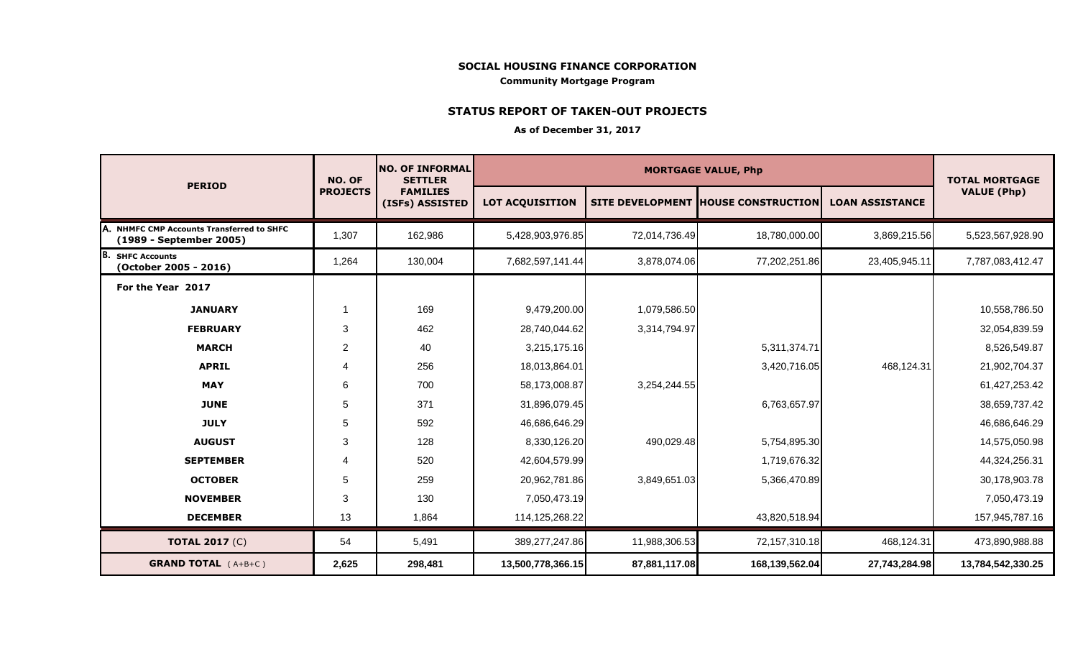#### **SOCIAL HOUSING FINANCE CORPORATION Community Mortgage Program**

### **STATUS REPORT OF TAKEN-OUT PROJECTS**

#### **As of December 31, 2017**

|                                                                                 | NO. OF<br><b>PROJECTS</b> | <b>NO. OF INFORMAL</b><br><b>SETTLER</b><br><b>FAMILIES</b><br>(ISFs) ASSISTED | <b>MORTGAGE VALUE, Php</b> |               |                                      |                        | <b>TOTAL MORTGAGE</b> |
|---------------------------------------------------------------------------------|---------------------------|--------------------------------------------------------------------------------|----------------------------|---------------|--------------------------------------|------------------------|-----------------------|
| <b>PERIOD</b>                                                                   |                           |                                                                                | <b>LOT ACQUISITION</b>     |               | SITE DEVELOPMENT  HOUSE CONSTRUCTION | <b>LOAN ASSISTANCE</b> | <b>VALUE (Php)</b>    |
| <b>NHMFC CMP Accounts Transferred to SHFC</b><br>IA.<br>(1989 - September 2005) | 1,307                     | 162,986                                                                        | 5,428,903,976.85           | 72,014,736.49 | 18,780,000.00                        | 3,869,215.56           | 5,523,567,928.90      |
| IB.<br><b>SHFC Accounts</b><br>(October 2005 - 2016)                            | 1,264                     | 130,004                                                                        | 7,682,597,141.44           | 3,878,074.06  | 77,202,251.86                        | 23,405,945.11          | 7,787,083,412.47      |
| For the Year 2017                                                               |                           |                                                                                |                            |               |                                      |                        |                       |
| <b>JANUARY</b>                                                                  |                           | 169                                                                            | 9,479,200.00               | 1,079,586.50  |                                      |                        | 10,558,786.50         |
| <b>FEBRUARY</b>                                                                 | 3                         | 462                                                                            | 28,740,044.62              | 3,314,794.97  |                                      |                        | 32,054,839.59         |
| <b>MARCH</b>                                                                    | $\overline{c}$            | 40                                                                             | 3,215,175.16               |               | 5,311,374.71                         |                        | 8,526,549.87          |
| <b>APRIL</b>                                                                    | 4                         | 256                                                                            | 18,013,864.01              |               | 3,420,716.05                         | 468,124.31             | 21,902,704.37         |
| <b>MAY</b>                                                                      | 6                         | 700                                                                            | 58,173,008.87              | 3,254,244.55  |                                      |                        | 61,427,253.42         |
| <b>JUNE</b>                                                                     | 5                         | 371                                                                            | 31,896,079.45              |               | 6,763,657.97                         |                        | 38,659,737.42         |
| <b>JULY</b>                                                                     | 5                         | 592                                                                            | 46,686,646.29              |               |                                      |                        | 46,686,646.29         |
| <b>AUGUST</b>                                                                   | 3                         | 128                                                                            | 8,330,126.20               | 490,029.48    | 5,754,895.30                         |                        | 14,575,050.98         |
| <b>SEPTEMBER</b>                                                                | 4                         | 520                                                                            | 42,604,579.99              |               | 1,719,676.32                         |                        | 44,324,256.31         |
| <b>OCTOBER</b>                                                                  | 5                         | 259                                                                            | 20,962,781.86              | 3,849,651.03  | 5,366,470.89                         |                        | 30,178,903.78         |
| <b>NOVEMBER</b>                                                                 | 3                         | 130                                                                            | 7,050,473.19               |               |                                      |                        | 7,050,473.19          |
| <b>DECEMBER</b>                                                                 | 13                        | 1,864                                                                          | 114,125,268.22             |               | 43,820,518.94                        |                        | 157,945,787.16        |
| <b>TOTAL 2017 (C)</b>                                                           | 54                        | 5,491                                                                          | 389,277,247.86             | 11,988,306.53 | 72,157,310.18                        | 468,124.31             | 473,890,988.88        |
| <b>GRAND TOTAL</b> (A+B+C)                                                      | 2,625                     | 298,481                                                                        | 13,500,778,366.15          | 87,881,117.08 | 168,139,562.04                       | 27,743,284.98          | 13,784,542,330.25     |